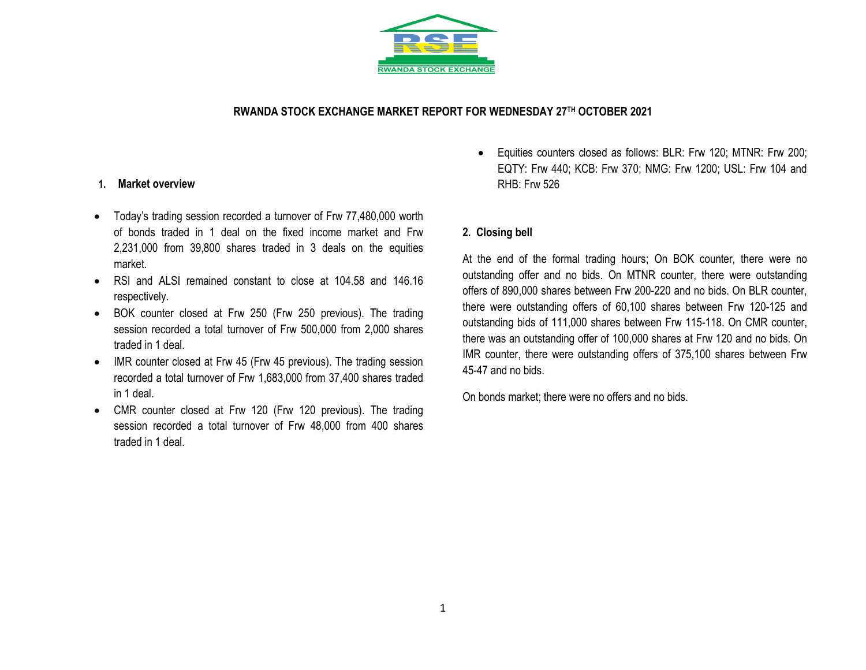

## **RWANDA STOCK EXCHANGE MARKET REPORT FOR WEDNESDAY 27 TH OCTOBER 2021**

### **1. Market overview**

- Today's trading session recorded a turnover of Frw 77,480,000 worth of bonds traded in 1 deal on the fixed income market and Frw 2,231,000 from 39,800 shares traded in 3 deals on the equities market.
- RSI and ALSI remained constant to close at 104.58 and 146.16 respectively.
- BOK counter closed at Frw 250 (Frw 250 previous). The trading session recorded a total turnover of Frw 500,000 from 2,000 shares traded in 1 deal.
- IMR counter closed at Frw 45 (Frw 45 previous). The trading session recorded a total turnover of Frw 1,683,000 from 37,400 shares traded in 1 deal.
- CMR counter closed at Frw 120 (Frw 120 previous). The trading session recorded a total turnover of Frw 48,000 from 400 shares traded in 1 deal.

 Equities counters closed as follows: BLR: Frw 120; MTNR: Frw 200; EQTY: Frw 440; KCB: Frw 370; NMG: Frw 1200; USL: Frw 104 and RHB: Frw 526

### **2. Closing bell**

At the end of the formal trading hours; On BOK counter, there were no outstanding offer and no bids. On MTNR counter, there were outstanding offers of 890,000 shares between Frw 200-220 and no bids. On BLR counter, there were outstanding offers of 60,100 shares between Frw 120-125 and outstanding bids of 111,000 shares between Frw 115-118. On CMR counter, there was an outstanding offer of 100,000 shares at Frw 120 and no bids. On IMR counter, there were outstanding offers of 375,100 shares between Frw 45-47 and no bids.

On bonds market; there were no offers and no bids.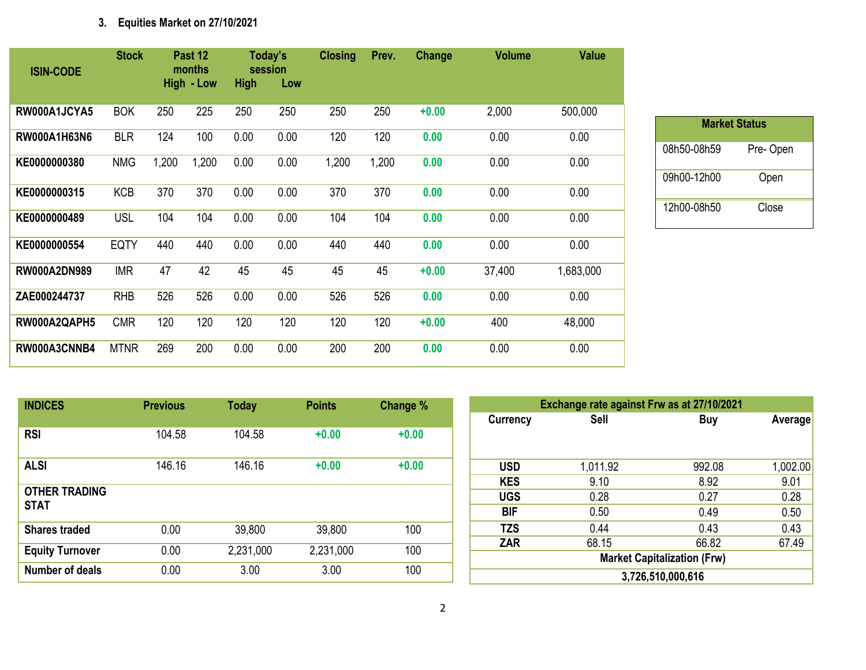# **3. Equities Market on 27/10/2021**

| <b>ISIN-CODE</b>    | <b>Stock</b> |       | Past 12<br>months<br>High - Low | <b>High</b> | Today's<br>session<br>Low | <b>Closing</b> | Prev. | Change  | <b>Volume</b> | <b>Value</b> |
|---------------------|--------------|-------|---------------------------------|-------------|---------------------------|----------------|-------|---------|---------------|--------------|
| RW000A1JCYA5        | <b>BOK</b>   | 250   | 225                             | 250         | 250                       | 250            | 250   | $+0.00$ | 2,000         | 500,000      |
| RW000A1H63N6        | <b>BLR</b>   | 124   | 100                             | 0.00        | 0.00                      | 120            | 120   | 0.00    | 0.00          | 0.00         |
| KE0000000380        | <b>NMG</b>   | 1,200 | 1,200                           | 0.00        | 0.00                      | 1,200          | 1,200 | 0.00    | 0.00          | 0.00         |
| KE0000000315        | <b>KCB</b>   | 370   | 370                             | 0.00        | 0.00                      | 370            | 370   | 0.00    | 0.00          | 0.00         |
| KE0000000489        | <b>USL</b>   | 104   | 104                             | 0.00        | 0.00                      | 104            | 104   | 0.00    | 0.00          | 0.00         |
| KE0000000554        | <b>EQTY</b>  | 440   | 440                             | 0.00        | 0.00                      | 440            | 440   | 0.00    | 0.00          | 0.00         |
| <b>RW000A2DN989</b> | <b>IMR</b>   | 47    | 42                              | 45          | 45                        | 45             | 45    | $+0.00$ | 37,400        | 1,683,000    |
| ZAE000244737        | <b>RHB</b>   | 526   | 526                             | 0.00        | 0.00                      | 526            | 526   | 0.00    | 0.00          | 0.00         |
| RW000A2QAPH5        | <b>CMR</b>   | 120   | 120                             | 120         | 120                       | 120            | 120   | $+0.00$ | 400           | 48,000       |
| RW000A3CNNB4        | <b>MTNR</b>  | 269   | 200                             | 0.00        | 0.00                      | 200            | 200   | 0.00    | 0.00          | 0.00         |

| <b>Market Status</b> |          |
|----------------------|----------|
| 08h50-08h59          | Pre-Open |
| 09h00-12h00          | Open     |
| 12h00-08h50          | Close    |

| <b>INDICES</b>                      | <b>Previous</b> | <b>Today</b> | <b>Points</b> | Change % |
|-------------------------------------|-----------------|--------------|---------------|----------|
| <b>RSI</b>                          | 104.58          | 104.58       | $+0.00$       | $+0.00$  |
| <b>ALSI</b>                         | 146.16          | 146.16       | $+0.00$       | $+0.00$  |
| <b>OTHER TRADING</b><br><b>STAT</b> |                 |              |               |          |
| <b>Shares traded</b>                | 0.00            | 39,800       | 39,800        | 100      |
| <b>Equity Turnover</b>              | 0.00            | 2,231,000    | 2,231,000     | 100      |
| Number of deals                     | 0.00            | 3.00         | 3.00          | 100      |

|                 | Exchange rate against Frw as at 27/10/2021 |        |          |  |  |  |  |  |  |
|-----------------|--------------------------------------------|--------|----------|--|--|--|--|--|--|
| <b>Currency</b> | <b>Sell</b>                                | Buy    | Average  |  |  |  |  |  |  |
|                 |                                            |        |          |  |  |  |  |  |  |
| <b>USD</b>      | 1,011.92                                   | 992.08 | 1,002.00 |  |  |  |  |  |  |
| <b>KES</b>      | 9.10                                       | 8.92   | 9.01     |  |  |  |  |  |  |
| <b>UGS</b>      | 0.28                                       | 0.27   | 0.28     |  |  |  |  |  |  |
| <b>BIF</b>      | 0.50                                       | 0.49   | 0.50     |  |  |  |  |  |  |
| <b>TZS</b>      | 0.44                                       | 0.43   | 0.43     |  |  |  |  |  |  |
| <b>ZAR</b>      | 68.15                                      | 66.82  | 67.49    |  |  |  |  |  |  |
|                 | <b>Market Capitalization (Frw)</b>         |        |          |  |  |  |  |  |  |
|                 | 3,726,510,000,616                          |        |          |  |  |  |  |  |  |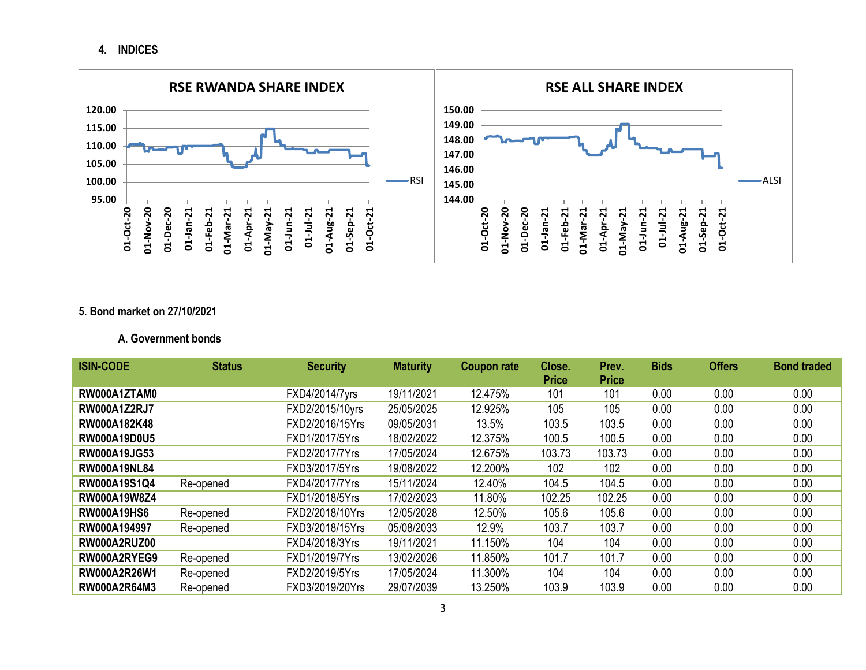## **4. INDICES**



## **5. Bond market on 27/10/2021**

### **A. Government bonds**

| <b>ISIN-CODE</b>    | <b>Status</b> | <b>Security</b> | <b>Maturity</b> | Coupon rate | Close.       | Prev.        | <b>Bids</b> | <b>Offers</b> | <b>Bond traded</b> |
|---------------------|---------------|-----------------|-----------------|-------------|--------------|--------------|-------------|---------------|--------------------|
|                     |               |                 |                 |             | <b>Price</b> | <b>Price</b> |             |               |                    |
| RW000A1ZTAM0        |               | FXD4/2014/7yrs  | 19/11/2021      | 12.475%     | 101          | 101          | 0.00        | 0.00          | 0.00               |
| <b>RW000A1Z2RJ7</b> |               | FXD2/2015/10yrs | 25/05/2025      | 12.925%     | 105          | 105          | 0.00        | 0.00          | 0.00               |
| RW000A182K48        |               | FXD2/2016/15Yrs | 09/05/2031      | 13.5%       | 103.5        | 103.5        | 0.00        | 0.00          | 0.00               |
| <b>RW000A19D0U5</b> |               | FXD1/2017/5Yrs  | 18/02/2022      | 12.375%     | 100.5        | 100.5        | 0.00        | 0.00          | 0.00               |
| <b>RW000A19JG53</b> |               | FXD2/2017/7Yrs  | 17/05/2024      | 12.675%     | 103.73       | 103.73       | 0.00        | 0.00          | 0.00               |
| <b>RW000A19NL84</b> |               | FXD3/2017/5Yrs  | 19/08/2022      | 12.200%     | 102          | 102          | 0.00        | 0.00          | 0.00               |
| <b>RW000A19S1Q4</b> | Re-opened     | FXD4/2017/7Yrs  | 15/11/2024      | 12.40%      | 104.5        | 104.5        | 0.00        | 0.00          | 0.00               |
| <b>RW000A19W8Z4</b> |               | FXD1/2018/5Yrs  | 17/02/2023      | 11.80%      | 102.25       | 102.25       | 0.00        | 0.00          | 0.00               |
| <b>RW000A19HS6</b>  | Re-opened     | FXD2/2018/10Yrs | 12/05/2028      | 12.50%      | 105.6        | 105.6        | 0.00        | 0.00          | 0.00               |
| RW000A194997        | Re-opened     | FXD3/2018/15Yrs | 05/08/2033      | 12.9%       | 103.7        | 103.7        | 0.00        | 0.00          | 0.00               |
| RW000A2RUZ00        |               | FXD4/2018/3Yrs  | 19/11/2021      | 11.150%     | 104          | 104          | 0.00        | 0.00          | 0.00               |
| RW000A2RYEG9        | Re-opened     | FXD1/2019/7Yrs  | 13/02/2026      | 11.850%     | 101.7        | 101.7        | 0.00        | 0.00          | 0.00               |
| <b>RW000A2R26W1</b> | Re-opened     | FXD2/2019/5Yrs  | 17/05/2024      | 11.300%     | 104          | 104          | 0.00        | 0.00          | 0.00               |
| <b>RW000A2R64M3</b> | Re-opened     | FXD3/2019/20Yrs | 29/07/2039      | 13.250%     | 103.9        | 103.9        | 0.00        | 0.00          | 0.00               |